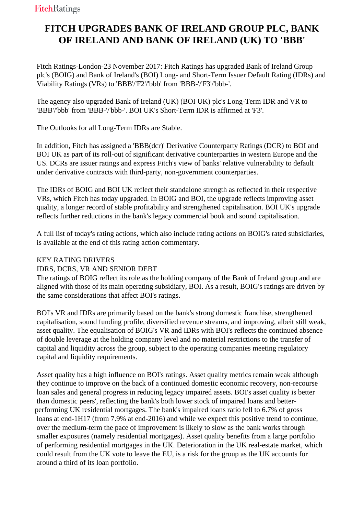# **FITCH UPGRADES BANK OF IRELAND GROUP PLC, BANK OF IRELAND AND BANK OF IRELAND (UK) TO 'BBB'**

 Fitch Ratings-London-23 November 2017: Fitch Ratings has upgraded Bank of Ireland Group plc's (BOIG) and Bank of Ireland's (BOI) Long- and Short-Term Issuer Default Rating (IDRs) and Viability Ratings (VRs) to 'BBB'/'F2'/'bbb' from 'BBB-'/'F3'/'bbb-'.

 The agency also upgraded Bank of Ireland (UK) (BOI UK) plc's Long-Term IDR and VR to 'BBB'/'bbb' from 'BBB-'/'bbb-'. BOI UK's Short-Term IDR is affirmed at 'F3'.

The Outlooks for all Long-Term IDRs are Stable.

In addition, Fitch has assigned a 'BBB(dcr)' Derivative Counterparty Ratings (DCR) to BOI and BOI UK as part of its roll-out of significant derivative counterparties in western Europe and the US. DCRs are issuer ratings and express Fitch's view of banks' relative vulnerability to default under derivative contracts with third-party, non-government counterparties.

 The IDRs of BOIG and BOI UK reflect their standalone strength as reflected in their respective VRs, which Fitch has today upgraded. In BOIG and BOI, the upgrade reflects improving asset quality, a longer record of stable profitability and strengthened capitalisation. BOI UK's upgrade reflects further reductions in the bank's legacy commercial book and sound capitalisation.

 A full list of today's rating actions, which also include rating actions on BOIG's rated subsidiaries, is available at the end of this rating action commentary.

# KEY RATING DRIVERS

# IDRS, DCRS, VR AND SENIOR DEBT

 The ratings of BOIG reflect its role as the holding company of the Bank of Ireland group and are aligned with those of its main operating subsidiary, BOI. As a result, BOIG's ratings are driven by the same considerations that affect BOI's ratings.

 BOI's VR and IDRs are primarily based on the bank's strong domestic franchise, strengthened capitalisation, sound funding profile, diversified revenue streams, and improving, albeit still weak, asset quality. The equalisation of BOIG's VR and IDRs with BOI's reflects the continued absence of double leverage at the holding company level and no material restrictions to the transfer of capital and liquidity across the group, subject to the operating companies meeting regulatory capital and liquidity requirements.

 Asset quality has a high influence on BOI's ratings. Asset quality metrics remain weak although they continue to improve on the back of a continued domestic economic recovery, non-recourse loan sales and general progress in reducing legacy impaired assets. BOI's asset quality is better than domestic peers', reflecting the bank's both lower stock of impaired loans and betterperforming UK residential mortgages. The bank's impaired loans ratio fell to 6.7% of gross loans at end-1H17 (from 7.9% at end-2016) and while we expect this positive trend to continue, over the medium-term the pace of improvement is likely to slow as the bank works through smaller exposures (namely residential mortgages). Asset quality benefits from a large portfolio of performing residential mortgages in the UK. Deterioration in the UK real-estate market, which could result from the UK vote to leave the EU, is a risk for the group as the UK accounts for around a third of its loan portfolio.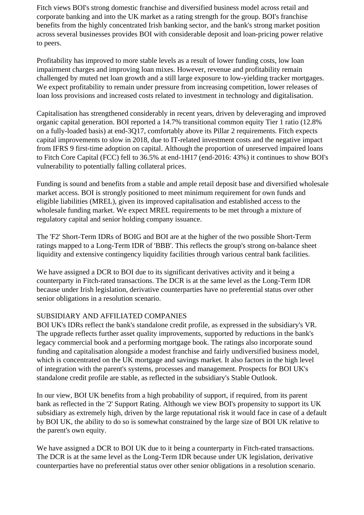Fitch views BOI's strong domestic franchise and diversified business model across retail and corporate banking and into the UK market as a rating strength for the group. BOI's franchise benefits from the highly concentrated Irish banking sector, and the bank's strong market position across several businesses provides BOI with considerable deposit and loan-pricing power relative to peers.

 Profitability has improved to more stable levels as a result of lower funding costs, low loan impairment charges and improving loan mixes. However, revenue and profitability remain challenged by muted net loan growth and a still large exposure to low-yielding tracker mortgages. We expect profitability to remain under pressure from increasing competition, lower releases of loan loss provisions and increased costs related to investment in technology and digitalisation.

 Capitalisation has strengthened considerably in recent years, driven by deleveraging and improved organic capital generation. BOI reported a 14.7% transitional common equity Tier 1 ratio (12.8% on a fully-loaded basis) at end-3Q17, comfortably above its Pillar 2 requirements. Fitch expects capital improvements to slow in 2018, due to IT-related investment costs and the negative impact from IFRS 9 first-time adoption on capital. Although the proportion of unreserved impaired loans to Fitch Core Capital (FCC) fell to 36.5% at end-1H17 (end-2016: 43%) it continues to show BOI's vulnerability to potentially falling collateral prices.

 Funding is sound and benefits from a stable and ample retail deposit base and diversified wholesale market access. BOI is strongly positioned to meet minimum requirement for own funds and eligible liabilities (MREL), given its improved capitalisation and established access to the wholesale funding market. We expect MREL requirements to be met through a mixture of regulatory capital and senior holding company issuance.

 The 'F2' Short-Term IDRs of BOIG and BOI are at the higher of the two possible Short-Term ratings mapped to a Long-Term IDR of 'BBB'. This reflects the group's strong on-balance sheet liquidity and extensive contingency liquidity facilities through various central bank facilities.

We have assigned a DCR to BOI due to its significant derivatives activity and it being a counterparty in Fitch-rated transactions. The DCR is at the same level as the Long-Term IDR because under Irish legislation, derivative counterparties have no preferential status over other senior obligations in a resolution scenario.

# SUBSIDIARY AND AFFILIATED COMPANIES

 BOI UK's IDRs reflect the bank's standalone credit profile, as expressed in the subsidiary's VR. The upgrade reflects further asset quality improvements, supported by reductions in the bank's legacy commercial book and a performing mortgage book. The ratings also incorporate sound funding and capitalisation alongside a modest franchise and fairly undiversified business model, which is concentrated on the UK mortgage and savings market. It also factors in the high level of integration with the parent's systems, processes and management. Prospects for BOI UK's standalone credit profile are stable, as reflected in the subsidiary's Stable Outlook.

 In our view, BOI UK benefits from a high probability of support, if required, from its parent bank as reflected in the '2' Support Rating. Although we view BOI's propensity to support its UK subsidiary as extremely high, driven by the large reputational risk it would face in case of a default by BOI UK, the ability to do so is somewhat constrained by the large size of BOI UK relative to the parent's own equity.

We have assigned a DCR to BOI UK due to it being a counterparty in Fitch-rated transactions. The DCR is at the same level as the Long-Term IDR because under UK legislation, derivative counterparties have no preferential status over other senior obligations in a resolution scenario.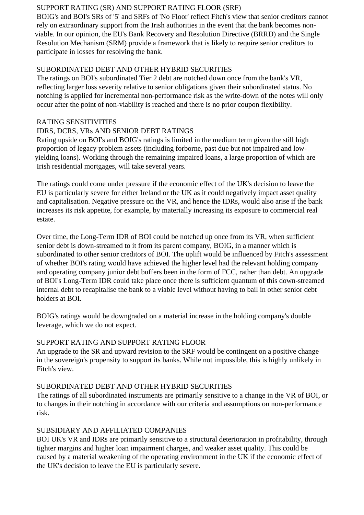#### SUPPORT RATING (SR) AND SUPPORT RATING FLOOR (SRF)

 BOIG's and BOI's SRs of '5' and SRFs of 'No Floor' reflect Fitch's view that senior creditors cannot rely on extraordinary support from the Irish authorities in the event that the bank becomes nonviable. In our opinion, the EU's Bank Recovery and Resolution Directive (BRRD) and the Single Resolution Mechanism (SRM) provide a framework that is likely to require senior creditors to participate in losses for resolving the bank.

# SUBORDINATED DEBT AND OTHER HYBRID SECURITIES

 The ratings on BOI's subordinated Tier 2 debt are notched down once from the bank's VR, reflecting larger loss severity relative to senior obligations given their subordinated status. No notching is applied for incremental non-performance risk as the write-down of the notes will only occur after the point of non-viability is reached and there is no prior coupon flexibility.

#### RATING SENSITIVITIES

# IDRS, DCRS, VRs AND SENIOR DEBT RATINGS

 Rating upside on BOI's and BOIG's ratings is limited in the medium term given the still high proportion of legacy problem assets (including forborne, past due but not impaired and lowyielding loans). Working through the remaining impaired loans, a large proportion of which are Irish residential mortgages, will take several years.

 The ratings could come under pressure if the economic effect of the UK's decision to leave the EU is particularly severe for either Ireland or the UK as it could negatively impact asset quality and capitalisation. Negative pressure on the VR, and hence the IDRs, would also arise if the bank increases its risk appetite, for example, by materially increasing its exposure to commercial real estate.

 Over time, the Long-Term IDR of BOI could be notched up once from its VR, when sufficient senior debt is down-streamed to it from its parent company, BOIG, in a manner which is subordinated to other senior creditors of BOI. The uplift would be influenced by Fitch's assessment of whether BOI's rating would have achieved the higher level had the relevant holding company and operating company junior debt buffers been in the form of FCC, rather than debt. An upgrade of BOI's Long-Term IDR could take place once there is sufficient quantum of this down-streamed internal debt to recapitalise the bank to a viable level without having to bail in other senior debt holders at BOI.

 BOIG's ratings would be downgraded on a material increase in the holding company's double leverage, which we do not expect.

# SUPPORT RATING AND SUPPORT RATING FLOOR

 An upgrade to the SR and upward revision to the SRF would be contingent on a positive change in the sovereign's propensity to support its banks. While not impossible, this is highly unlikely in Fitch's view.

# SUBORDINATED DEBT AND OTHER HYBRID SECURITIES

 The ratings of all subordinated instruments are primarily sensitive to a change in the VR of BOI, or to changes in their notching in accordance with our criteria and assumptions on non-performance risk.

# SUBSIDIARY AND AFFILIATED COMPANIES

 BOI UK's VR and IDRs are primarily sensitive to a structural deterioration in profitability, through tighter margins and higher loan impairment charges, and weaker asset quality. This could be caused by a material weakening of the operating environment in the UK if the economic effect of the UK's decision to leave the EU is particularly severe.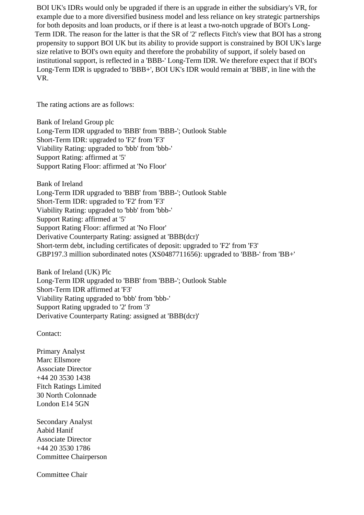BOI UK's IDRs would only be upgraded if there is an upgrade in either the subsidiary's VR, for example due to a more diversified business model and less reliance on key strategic partnerships for both deposits and loan products, or if there is at least a two-notch upgrade of BOI's Long-Term IDR. The reason for the latter is that the SR of '2' reflects Fitch's view that BOI has a strong propensity to support BOI UK but its ability to provide support is constrained by BOI UK's large size relative to BOI's own equity and therefore the probability of support, if solely based on institutional support, is reflected in a 'BBB-' Long-Term IDR. We therefore expect that if BOI's Long-Term IDR is upgraded to 'BBB+', BOI UK's IDR would remain at 'BBB', in line with the VR.

The rating actions are as follows:

 Bank of Ireland Group plc Long-Term IDR upgraded to 'BBB' from 'BBB-'; Outlook Stable Short-Term IDR: upgraded to 'F2' from 'F3' Viability Rating: upgraded to 'bbb' from 'bbb-' Support Rating: affirmed at '5' Support Rating Floor: affirmed at 'No Floor'

 Bank of Ireland Long-Term IDR upgraded to 'BBB' from 'BBB-'; Outlook Stable Short-Term IDR: upgraded to 'F2' from 'F3' Viability Rating: upgraded to 'bbb' from 'bbb-' Support Rating: affirmed at '5' Support Rating Floor: affirmed at 'No Floor' Derivative Counterparty Rating: assigned at 'BBB(dcr)' Short-term debt, including certificates of deposit: upgraded to 'F2' from 'F3' GBP197.3 million subordinated notes (XS0487711656): upgraded to 'BBB-' from 'BB+'

 Bank of Ireland (UK) Plc Long-Term IDR upgraded to 'BBB' from 'BBB-'; Outlook Stable Short-Term IDR affirmed at 'F3' Viability Rating upgraded to 'bbb' from 'bbb-' Support Rating upgraded to '2' from '3' Derivative Counterparty Rating: assigned at 'BBB(dcr)'

Contact:

 Primary Analyst Marc Ellsmore Associate Director +44 20 3530 1438 Fitch Ratings Limited 30 North Colonnade London E14 5GN

 Secondary Analyst Aabid Hanif Associate Director +44 20 3530 1786 Committee Chairperson

Committee Chair